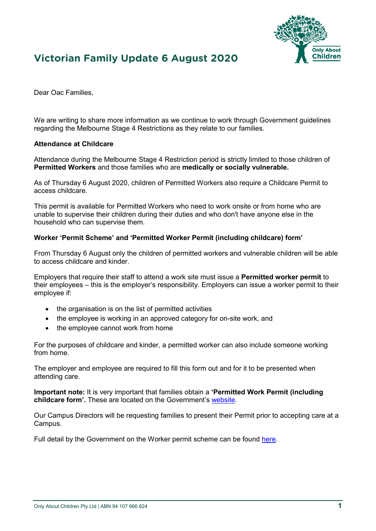# **Victorian Family Update 6 August 2020**



Dear Oac Families, 

We are writing to share more information as we continue to work through Government quidelines regarding the Melbourne Stage 4 Restrictions as they relate to our families.

#### **Attendance at Childcare**

Attendance during the Melbourne Stage 4 Restriction period is strictly limited to those children of **Permitted Workers** and those families who are **medically or socially vulnerable.**

As of Thursday 6 August 2020, children of Permitted Workers also require a Childcare Permit to access childcare.

This permit is available for Permitted Workers who need to work onsite or from home who are unable to supervise their children during their duties and who don't have anyone else in the household who can supervise them.

#### **Worker 'Permit Scheme' and 'Permitted Worker Permit (including childcare) form'**

From Thursday 6 August only the children of permitted workers and vulnerable children will be able to access childcare and kinder.

Employers that require their staff to attend a work site must issue a **Permitted worker permit** to their employees – this is the employer's responsibility. Employers can issue a worker permit to their employee if:

- the organisation is on the list of permitted activities
- the employee is working in an approved category for on-site work, and
- the employee cannot work from home

For the purposes of childcare and kinder, a permitted worker can also include someone working from home.

The employer and employee are required to fill this form out and for it to be presented when attending care.

**Important note:** It is very important that families obtain a **'Permitted Work Permit (including childcare form'.** These are located on the Government's [website.](https://aus01.safelinks.protection.outlook.com/?url=http%3A%2F%2Femail.childcarecrm.com%2Fls%2Fclick%3Fupn%3DT3BRkpDwzfuZj3SRt14IwhC2Iw3kRHTVkBJvwDwSTxWqwfdr1mjD2kQpqj45VOItUG4ou7bTsQLbdOl9l-2BZz9Q-3D-3DM8EW_bPJQ-2BOCb3aW1T83x2gM7vpUICahCDSQaY1HZkbZSJ0QE8G2xcTDYV6ZJSSMbAKAYaRy9DmJEyBTypn63Ec-2Bh-2FY00Zx46ZVFy702DCVZZgBlCIa6RIOXiMjX-2BHmSbOe9G2YglRDZWDXeqaOZGSLfiDt6MRhOsp1sNZVw4ZwgP47uxRQq-2Fr5JkKucrTu8f0JDjM7o4D5QfKz450cipqgog5bkyuzrS8eiA-2B3tBfcfxtrewGIIPZAQl5PtPfH8f0OAuTvGLVzHJAgAalDATNxBc2yOacx9AY51fXkqtB-2BNcBJtSg787Y7lt8mZNOV-2FylJOToe8g42WNXJWGVaVPvQJqvA-3D-3D&data=01%7C01%7Clinda.le%40oac.edu.au%7C2bc131b06ac64a32b2f508d839dc61e1%7C00611efb40ef4cb6a3a78ff68646a697%7C0&sdata=Z25u7FkFXQTS0Myje9eiJGsamNlT0DYN14KE5cv6XcQ%3D&reserved=0)

Our Campus Directors will be requesting families to present their Permit prior to accepting care at a Campus.

Full detail by the Government on the Worker permit scheme can be found [here.](https://aus01.safelinks.protection.outlook.com/?url=http%3A%2F%2Femail.childcarecrm.com%2Fls%2Fclick%3Fupn%3DT3BRkpDwzfuZj3SRt14IwhC2Iw3kRHTVkBJvwDwSTxWqwfdr1mjD2kQpqj45VOItUG4ou7bTsQLbdOl9l-2BZz9Q-3D-3DTWfW_bPJQ-2BOCb3aW1T83x2gM7vpUICahCDSQaY1HZkbZSJ0QE8G2xcTDYV6ZJSSMbAKAYaRy9DmJEyBTypn63Ec-2Bh-2FY00Zx46ZVFy702DCVZZgBlCIa6RIOXiMjX-2BHmSbOe9G2YglRDZWDXeqaOZGSLfiDt6MRhOsp1sNZVw4ZwgP47uxRQq-2Fr5JkKucrTu8f0JDjQ-2FOAGoX2ixsd5-2FnGVUJzZ-2BLLGLE-2FAGQOZ3HTz8kSvIgt2NDE3ZXksc7-2FVGE2g7jJMN7tjy6g5hL2Obu6-2FV6X0a9EtcuxiW6qeOuW95LvZav8P9rv-2BOpcpbluu3XeOaqubeOiTVRh6HxU5M5otVQ6-2BQ-3D-3D&data=01%7C01%7Clinda.le%40oac.edu.au%7C2bc131b06ac64a32b2f508d839dc61e1%7C00611efb40ef4cb6a3a78ff68646a697%7C0&sdata=du8EQtTfrSl0Tn9ehItUXIepV8GbCNfFZuv7Jg8irc4%3D&reserved=0)